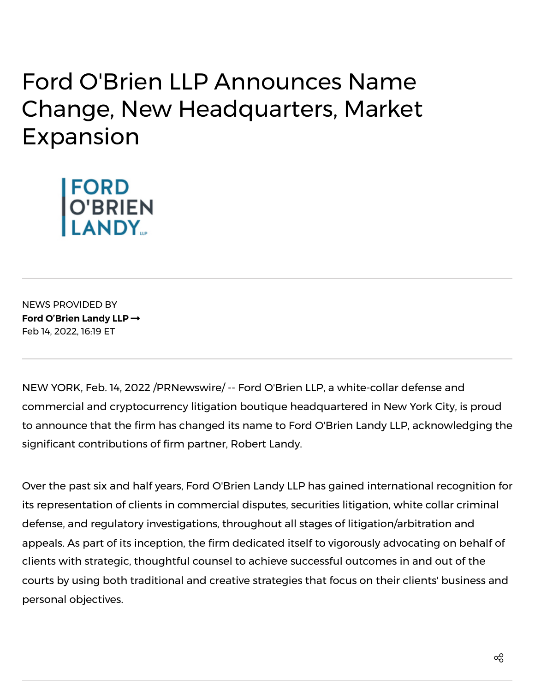## **Ford O'Brien LLP Announces Name** Change, New Headquarters, Market Expansion



**NEWS PROVIDED BY** Ford O'Brien Landy LLP  $\rightarrow$ Feb 14, 2022, 16:19 ET

NEW YORK, Feb. 14, 2022 /PRNewswire/ -- Ford O'Brien LLP, a white-collar defense and commercial and cryptocurrency litigation boutique headquartered in New York City, is proud to announce that the firm has changed its name to Ford O'Brien Landy LLP, acknowledging the significant contributions of firm partner, Robert Landy.

Over the past six and half years, Ford O'Brien Landy LLP has gained international recognition for its representation of clients in commercial disputes, securities litigation, white collar criminal defense, and regulatory investigations, throughout all stages of litigation/arbitration and appeals. As part of its inception, the firm dedicated itself to vigorously advocating on behalf of clients with strategic, thoughtful counsel to achieve successful outcomes in and out of the courts by using both traditional and creative strategies that focus on their clients' business and personal objectives.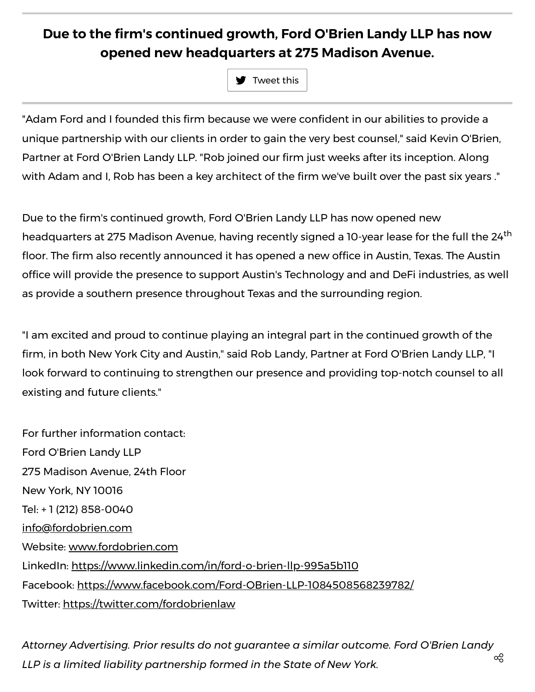## Due to the firm's continued growth, Ford O'Brien Landy LLP has now opened new headquarters at 275 Madison Avenue.

 $\blacktriangleright$  Tweet this

"Adam Ford and I founded this firm because we were confident in our abilities to provide a unique partnership with our clients in order to gain the very best counsel," said Kevin O'Brien, Partner at Ford O'Brien Landy LLP. "Rob joined our firm just weeks after its inception. Along with Adam and I, Rob has been a key architect of the firm we've built over the past six years."

Due to the firm's continued growth, Ford O'Brien Landy LLP has now opened new headquarters at 275 Madison Avenue, having recently signed a 10-year lease for the full the 24<sup>th</sup> floor. The firm also recently announced it has opened a new office in Austin, Texas. The Austin office will provide the presence to support Austin's Technology and and DeFi industries, as well as provide a southern presence throughout Texas and the surrounding region.

"I am excited and proud to continue playing an integral part in the continued growth of the firm, in both New York City and Austin," said Rob Landy, Partner at Ford O'Brien Landy LLP, "I look forward to continuing to strengthen our presence and providing top-notch counsel to all existing and future clients."

For further information contact: Ford O'Brien Landy LLP 275 Madison Avenue, 24th Floor **New York, NY 10016** Tel: +1 (212) 858-0040 info@fordobrien.com Website: www.fordobrien.com LinkedIn: https://www.linkedin.com/in/ford-o-brien-llp-995a5b110 Facebook: https://www.facebook.com/Ford-OBrien-LLP-1084508568239782/ Twitter: https://twitter.com/fordobrienlaw

Attorney Advertising. Prior results do not guarantee a similar outcome. Ford O'Brien Landy ఙ LLP is a limited liability partnership formed in the State of New York.